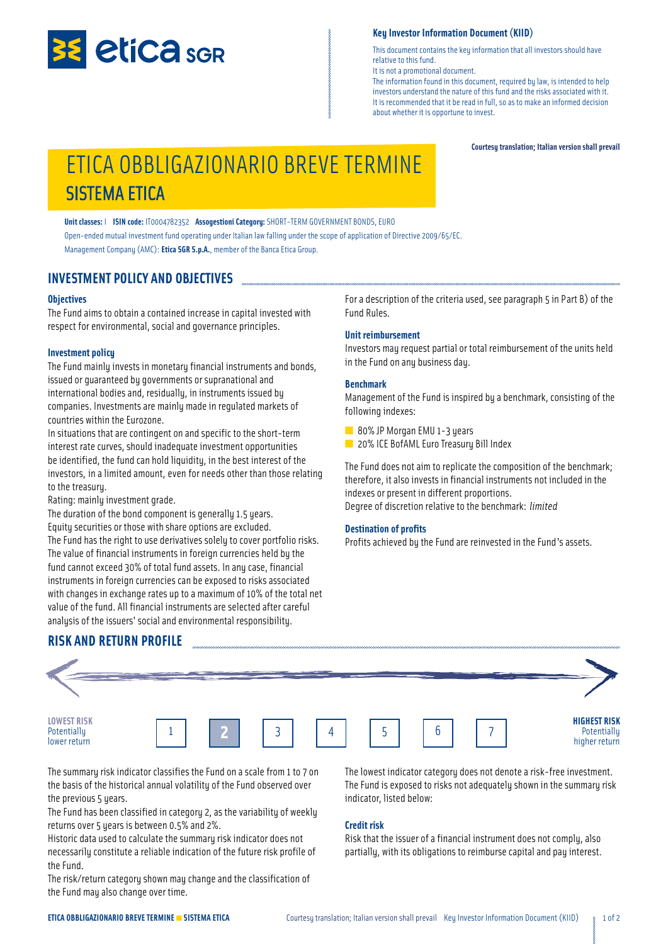

#### **Key Investor Information Document (KIID)**

This document contains the key information that all investors should have relative to this fund.

It is not a promotional document. The information found in this document, required by law, is intended to help investors understand the nature of this fund and the risks associated with it. It is recommended that it be read in full, so as to make an informed decision about whether it is opportune to invest.

#### **Courtesy translation; Italian version shall prevail**

# ETICA OBBLIGAZIONARIO BREVE TERMINE SISTEMA ETICA

**Unit classes:** I **ISIN code:** IT0004782352 **Assogestioni Category:** SHORT-TERM GOVERNMENT BONDS, EURO Open-ended mutual investment fund operating under Italian law falling under the scope of application of Directive 2009/65/EC. Management Company (AMC): **Etica SGR S.p.A.**, member of the Banca Etica Group.

### **INVESTMENT POLICY AND OBJECTIVES**

#### **Objectives**

The Fund aims to obtain a contained increase in capital invested with respect for environmental, social and governance principles.

#### **Investment policy**

The Fund mainly invests in monetary financial instruments and bonds, issued or guaranteed by governments or supranational and international bodies and, residually, in instruments issued by companies. Investments are mainly made in regulated markets of countries within the Eurozone.

In situations that are contingent on and specific to the short-term interest rate curves, should inadequate investment opportunities be identified, the fund can hold liquidity, in the best interest of the investors, in a limited amount, even for needs other than those relating to the treasury.

Rating: mainly investment grade.

The duration of the bond component is generally 1.5 years. Equity securities or those with share options are excluded. The Fund has the right to use derivatives solely to cover portfolio risks. The value of financial instruments in foreign currencies held by the fund cannot exceed 30% of total fund assets. In any case, financial instruments in foreign currencies can be exposed to risks associated with changes in exchange rates up to a maximum of 10% of the total net value of the fund. All financial instruments are selected after careful analysis of the issuers' social and environmental responsibility.

For a description of the criteria used, see paragraph 5 in Part B) of the Fund Rules.

#### **Unit reimbursement**

Investors may request partial or total reimbursement of the units held in the Fund on any business day.

#### **Benchmark**

Management of the Fund is inspired by a benchmark, consisting of the following indexes:

■ 80% JP Morgan EMU 1-3 years

■ 20% ICE BofAML Euro Treasury Bill Index

The Fund does not aim to replicate the composition of the benchmark; therefore, it also invests in financial instruments not included in the indexes or present in different proportions. Degree of discretion relative to the benchmark: *limited*

#### **Destination of profits**

Profits achieved by the Fund are reinvested in the Fund's assets.



The summary risk indicator classifies the Fund on a scale from 1 to 7 on the basis of the historical annual volatility of the Fund observed over the previous 5 years.

The Fund has been classified in category 2, as the variability of weekly returns over 5 years is between 0.5% and 2%.

Historic data used to calculate the summary risk indicator does not necessarily constitute a reliable indication of the future risk profile of the Fund.

The risk/return category shown may change and the classification of the Fund may also change over time.

The lowest indicator category does not denote a risk-free investment. The Fund is exposed to risks not adequately shown in the summary risk indicator, listed below:

#### **Credit risk**

Risk that the issuer of a financial instrument does not comply, also partially, with its obligations to reimburse capital and pay interest.